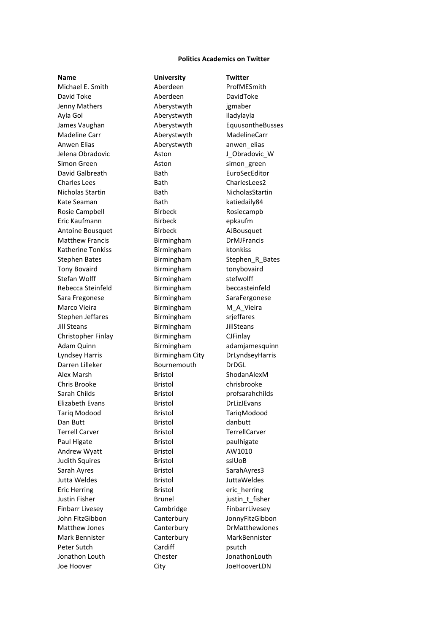## **Politics Academics on Twitter**

**Name University Twitter** Michael E. Smith **Aberdeen** ProfMESmith David Toke Aberdeen DavidToke Jenny Mathers **Aberystwyth** jgmaber Ayla Gol **Aberystwyth** iladylayla James Vaughan **Aberystwyth** EquusontheBusses Madeline Carr **Aberystwyth** MadelineCarr Anwen Elias **Aberystwyth** anwen elias Jelena Obradovic **Aston** Aston J\_Obradovic\_W Simon Green **Aston** Aston simon\_green David Galbreath Bath Bath EuroSecEditor Charles Lees Bath Charles Lees Nicholas Startin and Bath Nicholas Startin Bath Kate Seaman Bath Bath katiedaily84 Rosie Campbell **Birbeck** Birbeck Rosiecampb Eric Kaufmann Birbeck epkaufm Antoine Bousquet **Birbeck** Birbeck **AJBousquet** Matthew Francis **Birmingham** DrMJFrancis Katherine Tonkiss **Birmingham** ktonkiss Stephen Bates Birmingham Stephen R Bates Tony Bovaird Birmingham tonybovaird Stefan Wolff **Birmingham** stefwolff Rebecca Steinfeld **Birmingham** beccasteinfeld Sara Fregonese **Birmingham** SaraFergonese Marco Vieira **Marco Vieira** Birmingham M\_A\_Vieira Stephen Jeffares Birmingham srjeffares Jill Steans Birmingham JillSteans Christopher Finlay **Birmingham** CJFinlay Adam Quinn Birmingham adamjamesquinn Lyndsey Harris Birmingham City DrLyndseyHarris Darren Lilleker Bournemouth DrDGL Alex Marsh Bristol Bristol ShodanAlexM Chris Brooke Bristol chrisbrooke Sarah Childs **Bristol** Bristol **profsarahchilds** Elizabeth Evans **Bristol** Bristol DrLizJEvans Tariq Modood Bristol TariqModood Dan Butt Bristol Bristol danbutt Terrell Carver **Bristol** Bristol **TerrellCarver** Paul Higate **Bristol** Bristol **paulhigate** Andrew Wyatt Bristol Bristol AW1010 Judith Squires **Bristol** Bristol sslUoB Sarah Ayres **Bristol** Bristol SarahAyres3 Jutta Weldes Bristol JuttaWeldes Eric Herring **Bristol** Bristol eric herring Justin Fisher **Brunel** Brunel **justin** t fisher Finbarr Livesey **Cambridge** FinbarrLivesey John FitzGibbon Canterbury JonnyFitzGibbon Matthew Jones Canterbury DrMatthewJones Mark Bennister Canterbury MarkBennister Peter Sutch Cardiff psutch psutch Jonathon Louth Chester JonathonLouth Joe Hoover City JoeHooverLDN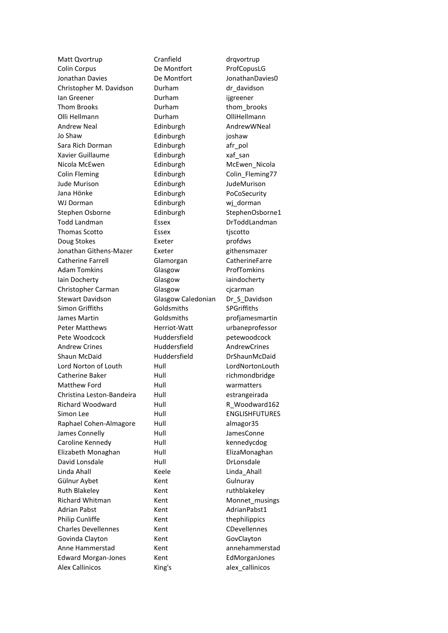Matt Qvortrup Cranfield drqvortrup Colin Corpus De Montfort ProfCopusLG Jonathan Davies De Montfort JonathanDavies0 Christopher M. Davidson Durham dr davidson Ian Greener Durham ijgreener Thom Brooks **Durham** thom brooks Olli Hellmann Durham OlliHellmann Andrew Neal **Edinburgh** Edinburgh AndrewWNeal Jo Shaw **Edinburgh** joshaw Sara Rich Dorman **Edinburgh** afr pol Xavier Guillaume **Edinburgh** xaf san Nicola McEwen **Edinburgh** McEwen Nicola Colin Fleming **Coling Edinburgh** Colin\_Fleming77 Jude Murison Edinburgh JudeMurison Jana Hönke **Edinburgh** PoCoSecurity WJ Dorman **Edinburgh** WJ Dorman Stephen Osborne **Edinburgh** StephenOsborne1 Todd Landman **Essex** Essex **DrToddLandman** Thomas Scotto **Essex** tjscotto Doug Stokes **Exeter Exeter profdws** Jonathan Githens-Mazer Exeter githensmazer Catherine Farrell Glamorgan CatherineFarre Adam Tomkins **Glasgow** ProfTomkins Iain Docherty **Glasgow** iaindocherty Christopher Carman Glasgow cjcarman Stewart Davidson Glasgow Caledonian Dr\_S\_Davidson Simon Griffiths Goldsmiths SPGriffiths James Martin **Goldsmiths** profjamesmartin Peter Matthews **Herriot-Watt** urbaneprofessor Pete Woodcock **Huddersfield** petewoodcock Andrew Crines **Huddersfield** AndrewCrines Shaun McDaid **Huddersfield** DrShaunMcDaid Lord Norton of Louth Hull Hull LordNortonLouth Catherine Baker Hull Hull richmondbridge Matthew Ford **Hull** Hull **Warmatters** Christina Leston-Bandeira Hull estrangeirada Richard Woodward **Hull** Hull R Woodward162 Simon Lee Hull Hull ENGLISHFUTURES Raphael Cohen-Almagore Hull almagor35 James Connelly **Hull** Hull JamesConne Caroline Kennedy **Hull** Hull kennedycdog Elizabeth Monaghan Hull ElizaMonaghan David Lonsdale **Hull** Hull **DrLonsdale** Linda Ahall **Keele** Linda Ahall **Keele** Linda Ahall Gülnur Aybet Kent Kent Gulnuray Ruth Blakeley **Kent** Kent **Ruth** ruthblakeley Richard Whitman Kent Monnet musings Adrian Pabst **Kent** Kent AdrianPabst1 Philip Cunliffe **Kent** Kent thephilippics Charles Devellennes Kent CDevellennes Govinda Clayton **Kent** Kent GovClayton Anne Hammerstad Kent Kent annehammerstad Edward Morgan-Jones Kent Kent EdMorganJones Alex Callinicos **King's** alex callinicos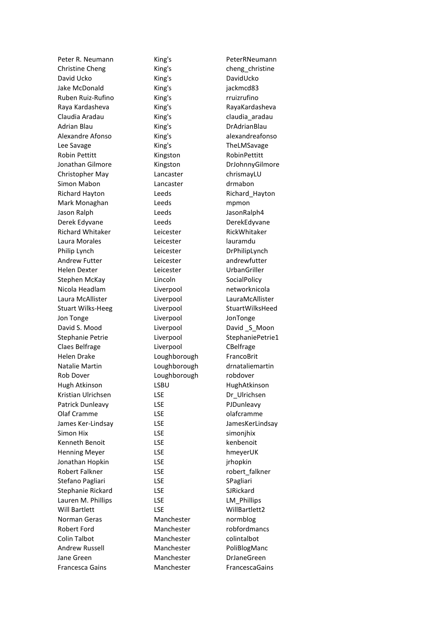Peter R. Neumann King's **PeterRNeumann** Christine Cheng Theory Cheng Christine Cheng Christine David Ucko King's David Ucko Jake McDonald King's iackmcd83 Ruben Ruiz-Rufino King's Truizrufino Raya Kardasheva King's RayaKardasheva Claudia Aradau King's claudia\_aradau Adrian Blau King's Charles Blau King's DrAdrian Blau Alexandre Afonso King's alexandreafonso Lee Savage The LMSavage King's The LMSavage Robin Pettitt Kingston Kingston RobinPettitt Jonathan Gilmore Kingston DrJohnnyGilmore Christopher May Lancaster chrismayLU Simon Mabon **Lancaster** drmabon Richard Hayton **Leeds Richard\_Hayton** Mark Monaghan **Leeds** mpmon Jason Ralph Leeds Leeds JasonRalph4 Derek Edyvane **Leeds** DerekEdyvane Richard Whitaker **Leicester Leicester** RickWhitaker Laura Morales **Leicester** Leicester lauramdu Philip Lynch Leicester DrPhilipLynch Andrew Futter **Leicester Leicester** andrewfutter Helen Dexter Leicester UrbanGriller Stephen McKay **Lincoln** Christian Lincoln Christian SocialPolicy Nicola Headlam Liverpool networknicola Laura McAllister Liverpool LauraMcAllister Stuart Wilks-Heeg Liverpool StuartWilksHeed Jon Tonge Liverpool JonTonge David S. Mood **Liverpool** David S Moon Stephanie Petrie Liverpool StephaniePetrie1 Claes Belfrage **Liverpool** Claes Belfrage Helen Drake **Loughborough** FrancoBrit Natalie Martin **Mataliemartin** Loughborough drnataliemartin Rob Dover **Loughborough** robdover Hugh Atkinson **LSBU** HughAtkinson Kristian Ulrichsen LSE Dr\_Ulrichsen Patrick Dunleavy **LSE** PJDunleavy Olaf Cramme LSE black black black black black black black black black black black black black black black black James Ker-Lindsay **LSE** JamesKerLindsay Simon Hix LSE simonjhix Kenneth Benoit **LSE** kenbenoit Henning Meyer **LSE** hmeyerUK Jonathan Hopkin **LSE** irhopkin Robert Falkner Matter LSE black and the robert falkner Stefano Pagliari **LSE** LSE SPagliari Stephanie Rickard **LSE** SJRickard Lauren M. Phillips **Lauren M. Phillips** Will Bartlett **LSE** USE WillBartlett2 Norman Geras **Manchester** Manchester normblog Robert Ford Manchester robfordmancs Colin Talbot **Manchester** colintalbot Andrew Russell Manchester PoliBlogManc Jane Green Manchester DrJaneGreen Francesca Gains Manchester FrancescaGains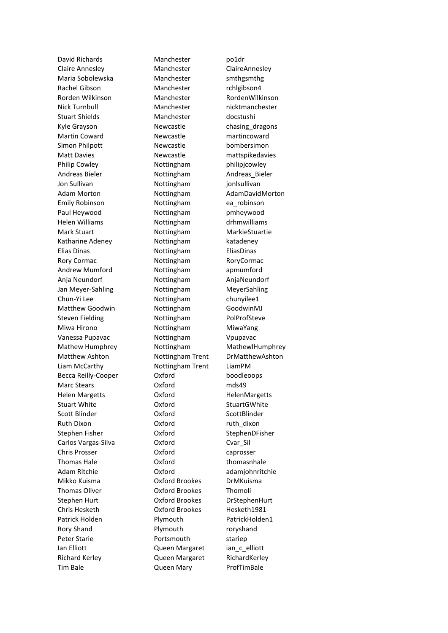David Richards Manchester po1dr Claire Annesley Manchester ClaireAnnesley Maria Sobolewska Manchester smthgsmthg Rachel Gibson Manchester rchlgibson4 Rorden Wilkinson Manchester RordenWilkinson Nick Turnbull Manchester micktmanchester Stuart Shields Manchester docstushi Kyle Grayson Newcastle chasing dragons Martin Coward **Newcastle** Memories **Martin** Martincoward Simon Philpott **Newcastle bombersimon** Matt Davies **Newcastle Matt Davies** Mewcastle mattspikedavies Philip Cowley **Nottingham** philipjcowley Andreas Bieler **Nottingham** Andreas\_Bieler Jon Sullivan **Nottingham** jonlsullivan Adam Morton **Nottingham** AdamDavidMorton Emily Robinson Nottingham ea\_robinson Paul Heywood Mottingham pmheywood Helen Williams **Nottingham** drhmwilliams Mark Stuart **Mark Stuartie Stuartie** Nottingham MarkieStuartie Katharine Adeney **Nottingham** katadeney Elias Dinas **Nottingham** EliasDinas Rory Cormac **Nottingham** RoryCormac Andrew Mumford **Nottingham** apmumford Anja Neundorf Nottingham AnjaNeundorf Jan Meyer-Sahling **Nottingham** MeyerSahling Chun-Yi Lee Nottingham chunyilee1 Matthew Goodwin **Nottingham** GoodwinMJ Steven Fielding **Nottingham** PolProfSteve Miwa Hirono **Nottingham** MiwaYang Vanessa Pupavac **Nottingham** Vpupavac Mathew Humphrey **Nottingham** MathewlHumphrey Matthew Ashton Mottingham Trent DrMatthewAshton Liam McCarthy **Nottingham Trent** LiamPM Becca Reilly-Cooper Oxford boodleoops Marc Stears **Canadian Control Control March Stears** Oxford mds49 Helen Margetts **Oxford** HelenMargetts Stuart White **Canadian Control** Oxford StuartGWhite Scott Blinder **Scott Blinder** Oxford Scott Blinder Ruth Dixon Cxford ruth\_dixon Stephen Fisher Cxford StephenDFisher Carlos Vargas-Silva **Carlos Contracts** Oxford Cvar Sil Chris Prosser Oxford caprosser Thomas Hale **Calculation** Oxford thomasnhale Adam Ritchie **Canadian Contract Contract Adam Adam in Adam in Adam in Adam in Adam in Adam in Adam in Adam in A** Mikko Kuisma Oxford Brookes DrMKuisma Thomas Oliver **Calcular Contract Contract Contract Contract Contract Contract Contract Contract Contract Contract Contract Contract Contract Contract Contract Contract Contract Contract Contract Contract Contract Contract** Stephen Hurt Oxford Brookes DrStephenHurt Chris Hesketh Oxford Brookes Hesketh1981 Patrick Holden Plymouth PatrickHolden1 Rory Shand **Plymouth Plymouth** roryshand Peter Starie **Portsmouth** stariep Ian Elliott **Ian Elliott** Cueen Margaret ian c elliott Richard Kerley **Calculary Queen Margaret** RichardKerley Tim Bale **Cueen Mary** ProfTimBale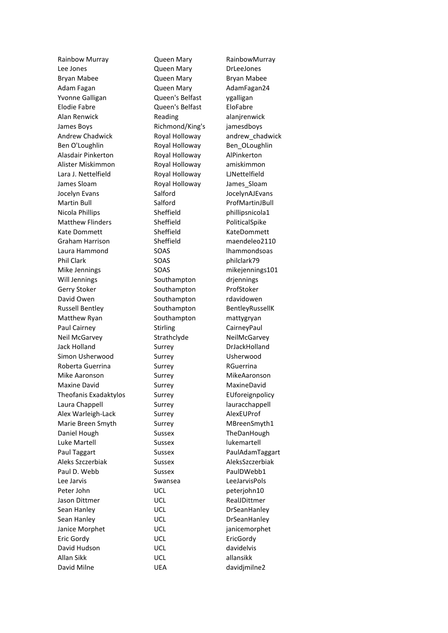Rainbow Murray Queen Mary RainbowMurray Lee Jones **Cueen Mary** DrLeeJones Bryan Mabee **Calculates** Queen Mary Bryan Mabee Adam Fagan **Calculation Calculation Cueen Mary AdamFagan24** Yvonne Galligan Queen's Belfast ygalligan Elodie Fabre Queen's Belfast EloFabre Alan Renwick Reading alanjrenwick James Boys Richmond/King's jamesdboys Andrew Chadwick **Royal Holloway** andrew chadwick Ben O'Loughlin **Royal Holloway** Ben OLoughlin Alasdair Pinkerton Royal Holloway AlPinkerton Alister Miskimmon Royal Holloway amiskimmon Lara J. Nettelfield **Royal Holloway** LINettelfield James Sloam Royal Holloway James\_Sloam Jocelyn Evans Salford Guide States School and School and School and School and School and School and School and School and School and School and School and School and School and School and School and School and School and Martin Bull **Salford** ProfMartinJBull **Martin** Nicola Phillips **Sheffield** phillipsnicola1 Matthew Flinders Sheffield PoliticalSpike Kate Dommett Sheffield KateDommett Graham Harrison Sheffield maendeleo2110 Laura Hammond SOAS lhammondsoas Phil Clark SOAS philclark79 Mike Jennings **SOAS** mikejennings101 Will Jennings Southampton drjennings Gerry Stoker Southampton ProfStoker David Owen Southampton rdavidowen Russell Bentley **Southampton** BentleyRussellK Matthew Ryan Southampton mattygryan Paul Cairney **Cairney Paul CairneyPaul** Neil McGarvey Strathclyde NeilMcGarvey Jack Holland **Surrey Surrey BrJackHolland** Simon Usherwood Surrey Surrey Usherwood Roberta Guerrina **Surrey Surrey RGuerrina** Mike Aaronson Surrey MikeAaronson Maxine David **Surrey** MaxineDavid Theofanis Exadaktylos Surrey Surrey EUforeignpolicy Laura Chappell **Surrey Chappell** Surrey **Lauracchappell** Alex Warleigh-Lack Surrey AlexEUProf Marie Breen Smyth Surrey MBreenSmyth1 Daniel Hough Sussex TheDanHough Luke Martell **Sussex Sussex Sussex** *Iukemartell* Paul Taggart Sussex PaulAdamTaggart Aleks Szczerbiak Sussex AleksSzczerbiak Paul D. Webb Sussex PaulDWebb1 Lee Jarvis Swansea LeeJarvisPols Peter John 
UCL

UCL

versuch the beterjohn10 Jason Dittmer **UCL** UCL RealJDittmer Sean Hanley **CL** UCL **DrSeanHanley** Sean Hanley **CL** UCL **DrSeanHanley** Janice Morphet **UCL** UCL janicemorphet Eric Gordy **UCL** EricGordy David Hudson **UCL** UCL davidelvis Allan Sikk UCL allansikk David Milne UEA UEA davidjmilne2